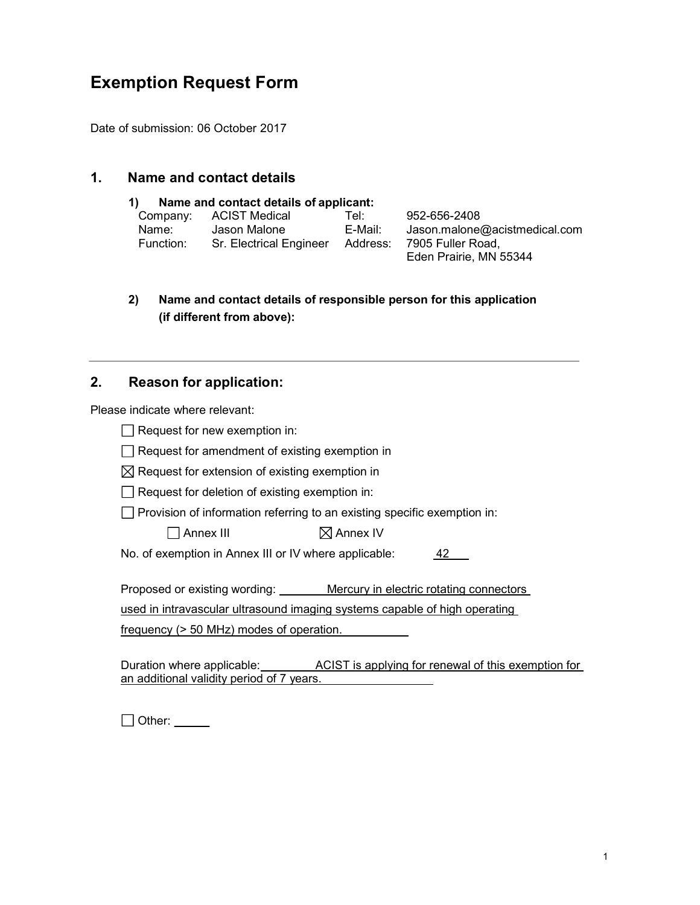# Exemption Request Form

Date of submission: 06 October 2017

## 1. Name and contact details

#### 1) Name and contact details of applicant:

| Company:  | ACIST Medical           | Tel: l   | 952-656-2408                  |
|-----------|-------------------------|----------|-------------------------------|
| Name:     | Jason Malone            | E-Mail:  | Jason.malone@acistmedical.com |
| Function: | Sr. Electrical Engineer | Address: | 7905 Fuller Road.             |
|           |                         |          | Eden Prairie, MN 55344        |

2) Name and contact details of responsible person for this application (if different from above):

# 2. Reason for application:

Please indicate where relevant:

| Request for new exemption in:                                                  |  |  |  |  |  |
|--------------------------------------------------------------------------------|--|--|--|--|--|
| Request for amendment of existing exemption in                                 |  |  |  |  |  |
| $\boxtimes$ Request for extension of existing exemption in                     |  |  |  |  |  |
| Request for deletion of existing exemption in:                                 |  |  |  |  |  |
| Provision of information referring to an existing specific exemption in:       |  |  |  |  |  |
| $\boxtimes$ Annex IV<br>Annex III                                              |  |  |  |  |  |
| No. of exemption in Annex III or IV where applicable:<br>42                    |  |  |  |  |  |
|                                                                                |  |  |  |  |  |
| Proposed or existing wording: Mercury in electric rotating connectors          |  |  |  |  |  |
| used in intravascular ultrasound imaging systems capable of high operating     |  |  |  |  |  |
| frequency (> 50 MHz) modes of operation.                                       |  |  |  |  |  |
|                                                                                |  |  |  |  |  |
| Duration where applicable: ACIST is applying for renewal of this exemption for |  |  |  |  |  |
| an additional validity period of 7 years.                                      |  |  |  |  |  |

□ Other: \_\_\_\_\_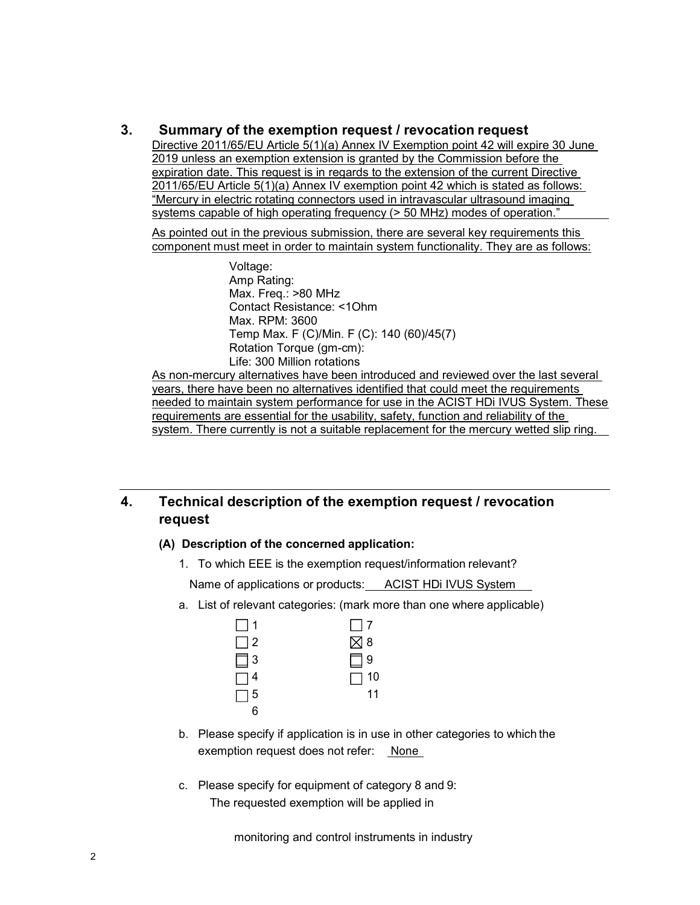### 3. Summary of the exemption request / revocation request

Directive 2011/65/EU Article 5(1)(a) Annex IV Exemption point 42 will expire 30 June 2019 unless an exemption extension is granted by the Commission before the expiration date. This request is in regards to the extension of the current Directive 2011/65/EU Article 5(1)(a) Annex IV exemption point 42 which is stated as follows: "Mercury in electric rotating connectors used in intravascular ultrasound imaging systems capable of high operating frequency (> 50 MHz) modes of operation."

As pointed out in the previous submission, there are several key requirements this component must meet in order to maintain system functionality. They are as follows:

> Voltage: Amp Rating: Max. Freq.: >80 MHz Contact Resistance: <1Ohm Max. RPM: 3600 Temp Max. F (C)/Min. F (C): 140 (60)/45(7) Rotation Torque (gm-cm): Life: 300 Million rotations

As non-mercury alternatives have been introduced and reviewed over the last several years, there have been no alternatives identified that could meet the requirements needed to maintain system performance for use in the ACIST HDi IVUS System. These requirements are essential for the usability, safety, function and reliability of the system. There currently is not a suitable replacement for the mercury wetted slip ring.

# 4. Technical description of the exemption request / revocation request

#### (A) Description of the concerned application:

1. To which EEE is the exemption request/information relevant?

Name of applications or products: ACIST HDi IVUS System

a. List of relevant categories: (mark more than one where applicable)



- b. Please specify if application is in use in other categories to which the exemption request does not refer: None
- c. Please specify for equipment of category 8 and 9: The requested exemption will be applied in

monitoring and control instruments in industry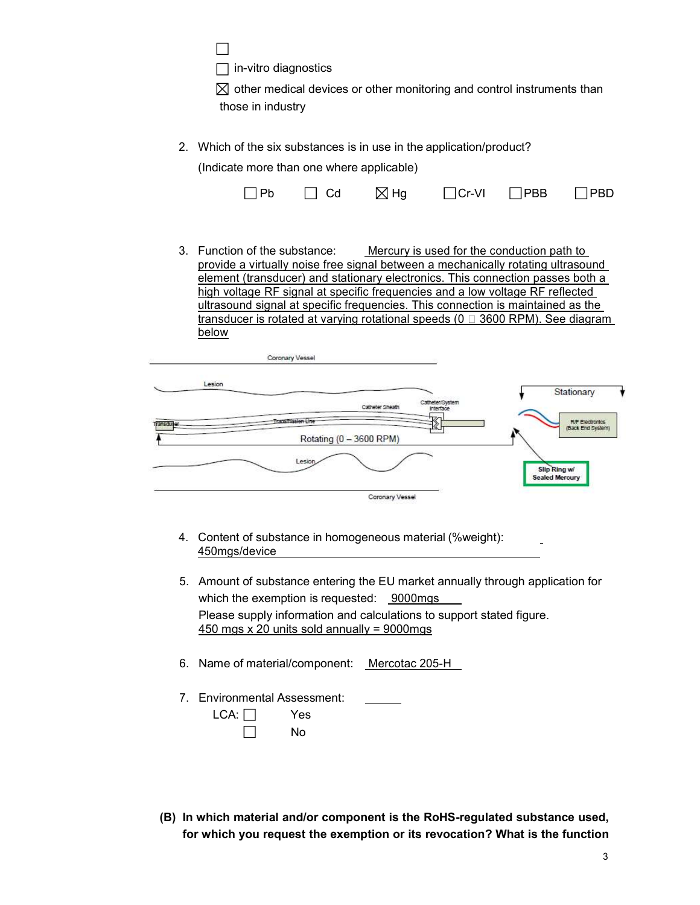П

 $\Box$  in-vitro diagnostics

 $\boxtimes$  other medical devices or other monitoring and control instruments than those in industry

2. Which of the six substances is in use in the application/product?

(Indicate more than one where applicable)

| $\Box$ Pb | $\Box$ Cd | $\boxtimes$ Hg | $\Box$ Cr-VI | $\Box$ PBB | $\Box$ PBD |
|-----------|-----------|----------------|--------------|------------|------------|
|-----------|-----------|----------------|--------------|------------|------------|

3. Function of the substance: Mercury is used for the conduction path to provide a virtually noise free signal between a mechanically rotating ultrasound element (transducer) and stationary electronics. This connection passes both a high voltage RF signal at specific frequencies and a low voltage RF reflected ultrasound signal at specific frequencies. This connection is maintained as the transducer is rotated at varying rotational speeds ( $0 \Box$  3600 RPM). See diagram below

|            | Coronary Vessel         |                              |                                             |
|------------|-------------------------|------------------------------|---------------------------------------------|
| Lesion     |                         |                              | Stationary                                  |
|            | Catheter Sheath         | Catheter/System<br>Interface |                                             |
| Transduper |                         |                              | <b>R/F Electronics</b><br>(Back End System) |
|            | Rotating (0 - 3600 RPM) |                              |                                             |
|            | Lesion                  |                              | Slip Ring w/<br><b>Sealed Mercury</b>       |
|            | Coronary Vessel         |                              |                                             |

- 4. Content of substance in homogeneous material (%weight): 450mgs/device
- 5. Amount of substance entering the EU market annually through application for which the exemption is requested: 9000mgs Please supply information and calculations to support stated figure.  $450$  mgs x 20 units sold annually = 9000mgs
- 6. Name of material/component: Mercotac 205-H
- 7. Environmental Assessment:

| LCA: | Yes |
|------|-----|
|      | N٥  |

(B) In which material and/or component is the RoHS-regulated substance used, for which you request the exemption or its revocation? What is the function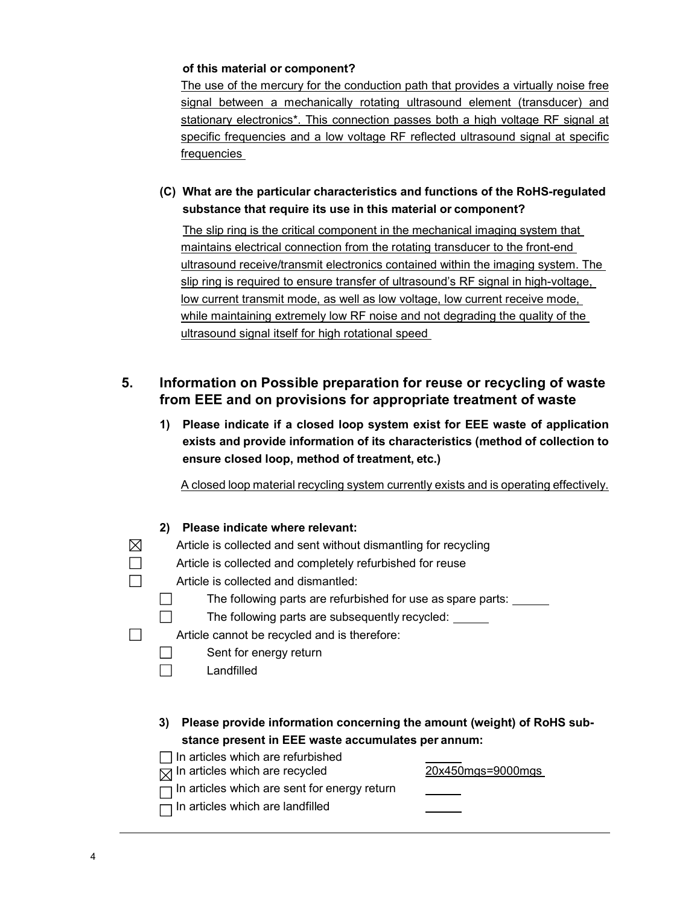#### of this material or component?

The use of the mercury for the conduction path that provides a virtually noise free signal between a mechanically rotating ultrasound element (transducer) and stationary electronics\*. This connection passes both a high voltage RF signal at specific frequencies and a low voltage RF reflected ultrasound signal at specific frequencies

(C) What are the particular characteristics and functions of the RoHS-regulated substance that require its use in this material or component?

The slip ring is the critical component in the mechanical imaging system that maintains electrical connection from the rotating transducer to the front-end ultrasound receive/transmit electronics contained within the imaging system. The slip ring is required to ensure transfer of ultrasound's RF signal in high-voltage, low current transmit mode, as well as low voltage, low current receive mode, while maintaining extremely low RF noise and not degrading the quality of the ultrasound signal itself for high rotational speed

## 5. Information on Possible preparation for reuse or recycling of waste from EEE and on provisions for appropriate treatment of waste

1) Please indicate if a closed loop system exist for EEE waste of application exists and provide information of its characteristics (method of collection to ensure closed loop, method of treatment, etc.)

A closed loop material recycling system currently exists and is operating effectively.

| Please indicate where relevant:<br>2)                                        |                   |
|------------------------------------------------------------------------------|-------------------|
| Article is collected and sent without dismantling for recycling              |                   |
| Article is collected and completely refurbished for reuse                    |                   |
| Article is collected and dismantled:                                         |                   |
| The following parts are refurbished for use as spare parts:                  |                   |
| The following parts are subsequently recycled:                               |                   |
| Article cannot be recycled and is therefore:                                 |                   |
| Sent for energy return                                                       |                   |
| Landfilled                                                                   |                   |
|                                                                              |                   |
|                                                                              |                   |
| 3)<br>Please provide information concerning the amount (weight) of RoHS sub- |                   |
| stance present in EEE waste accumulates per annum:                           |                   |
| In articles which are refurbished                                            |                   |
| In articles which are recycled                                               | 20x450mgs=9000mgs |
| In articles which are sent for energy return                                 |                   |
| In articles which are landfilled                                             |                   |
|                                                                              |                   |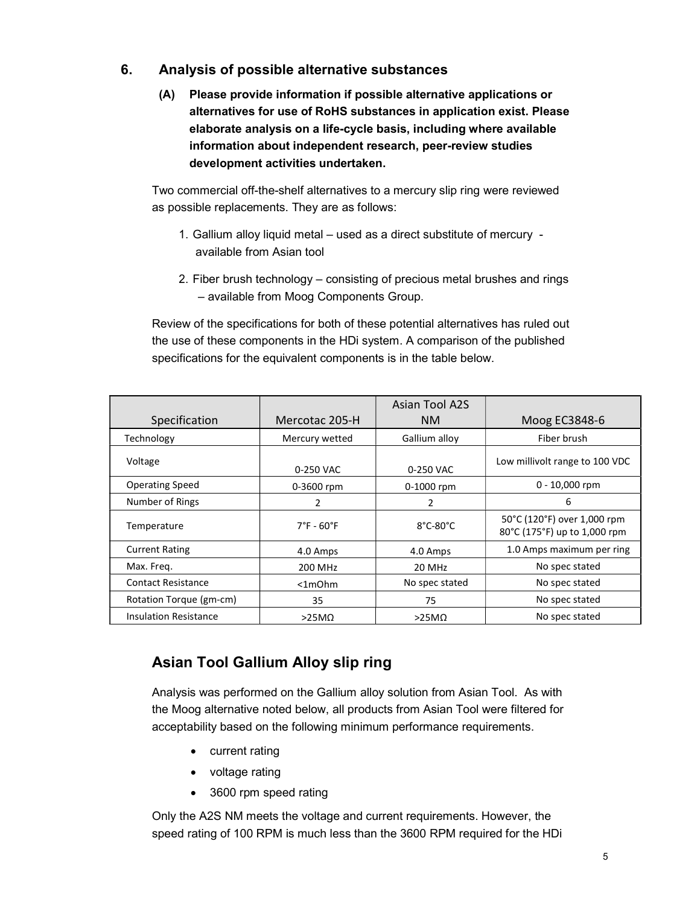### 6. Analysis of possible alternative substances

(A) Please provide information if possible alternative applications or alternatives for use of RoHS substances in application exist. Please elaborate analysis on a life-cycle basis, including where available information about independent research, peer-review studies development activities undertaken.

Two commercial off-the-shelf alternatives to a mercury slip ring were reviewed as possible replacements. They are as follows:

- 1. Gallium alloy liquid metal used as a direct substitute of mercury available from Asian tool
- 2. Fiber brush technology consisting of precious metal brushes and rings – available from Moog Components Group.

Review of the specifications for both of these potential alternatives has ruled out the use of these components in the HDi system. A comparison of the published specifications for the equivalent components is in the table below.

|                              |                                 | Asian Tool A2S                |                                                             |
|------------------------------|---------------------------------|-------------------------------|-------------------------------------------------------------|
| Specification                | Mercotac 205-H                  | NM.                           | Moog EC3848-6                                               |
| Technology                   | Mercury wetted                  | Gallium alloy                 | Fiber brush                                                 |
| Voltage                      | 0-250 VAC                       | 0-250 VAC                     | Low millivolt range to 100 VDC                              |
| <b>Operating Speed</b>       | 0-3600 rpm                      | 0-1000 rpm                    | $0 - 10,000$ rpm                                            |
| Number of Rings              |                                 |                               | 6                                                           |
| Temperature                  | $7^{\circ}$ F - 60 $^{\circ}$ F | $8^{\circ}$ C-80 $^{\circ}$ C | 50°C (120°F) over 1,000 rpm<br>80°C (175°F) up to 1,000 rpm |
| <b>Current Rating</b>        | 4.0 Amps                        | 4.0 Amps                      | 1.0 Amps maximum per ring                                   |
| Max. Freg.                   | 200 MHz                         | 20 MHz                        | No spec stated                                              |
| <b>Contact Resistance</b>    | $<$ 1m $Ohm$                    | No spec stated                | No spec stated                                              |
| Rotation Torque (gm-cm)      | 35                              | 75                            | No spec stated                                              |
| <b>Insulation Resistance</b> | $>25M\Omega$                    | $>25M\Omega$                  | No spec stated                                              |

# Asian Tool Gallium Alloy slip ring

Analysis was performed on the Gallium alloy solution from Asian Tool. As with the Moog alternative noted below, all products from Asian Tool were filtered for acceptability based on the following minimum performance requirements.

- current rating
- voltage rating
- 3600 rpm speed rating

Only the A2S NM meets the voltage and current requirements. However, the speed rating of 100 RPM is much less than the 3600 RPM required for the HDi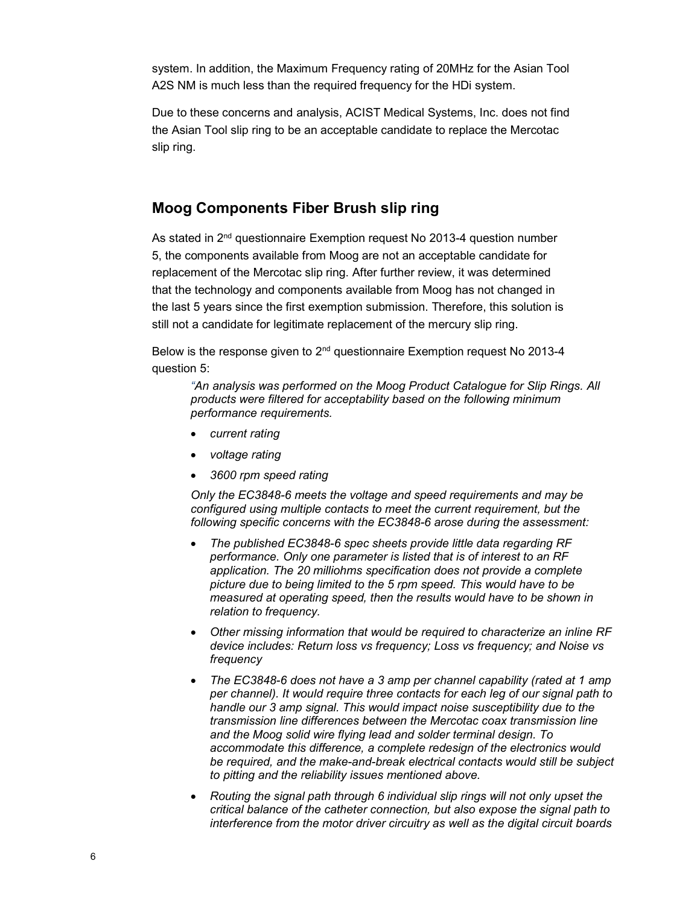system. In addition, the Maximum Frequency rating of 20MHz for the Asian Tool A2S NM is much less than the required frequency for the HDi system.

Due to these concerns and analysis, ACIST Medical Systems, Inc. does not find the Asian Tool slip ring to be an acceptable candidate to replace the Mercotac slip ring.

# Moog Components Fiber Brush slip ring

As stated in 2<sup>nd</sup> questionnaire Exemption request No 2013-4 question number 5, the components available from Moog are not an acceptable candidate for replacement of the Mercotac slip ring. After further review, it was determined that the technology and components available from Moog has not changed in the last 5 years since the first exemption submission. Therefore, this solution is still not a candidate for legitimate replacement of the mercury slip ring.

Below is the response given to 2<sup>nd</sup> questionnaire Exemption request No 2013-4 question 5:

"An analysis was performed on the Moog Product Catalogue for Slip Rings. All products were filtered for acceptability based on the following minimum performance requirements.

- current rating
- voltage rating
- 3600 rpm speed rating

Only the EC3848-6 meets the voltage and speed requirements and may be configured using multiple contacts to meet the current requirement, but the following specific concerns with the EC3848-6 arose during the assessment:

- The published EC3848-6 spec sheets provide little data regarding RF performance. Only one parameter is listed that is of interest to an RF application. The 20 milliohms specification does not provide a complete picture due to being limited to the 5 rpm speed. This would have to be measured at operating speed, then the results would have to be shown in relation to frequency.
- Other missing information that would be required to characterize an inline RF device includes: Return loss vs frequency; Loss vs frequency; and Noise vs frequency
- The EC3848-6 does not have a 3 amp per channel capability (rated at 1 amp per channel). It would require three contacts for each leg of our signal path to handle our 3 amp signal. This would impact noise susceptibility due to the transmission line differences between the Mercotac coax transmission line and the Moog solid wire flying lead and solder terminal design. To accommodate this difference, a complete redesign of the electronics would be required, and the make-and-break electrical contacts would still be subject to pitting and the reliability issues mentioned above.
- Routing the signal path through 6 individual slip rings will not only upset the critical balance of the catheter connection, but also expose the signal path to interference from the motor driver circuitry as well as the digital circuit boards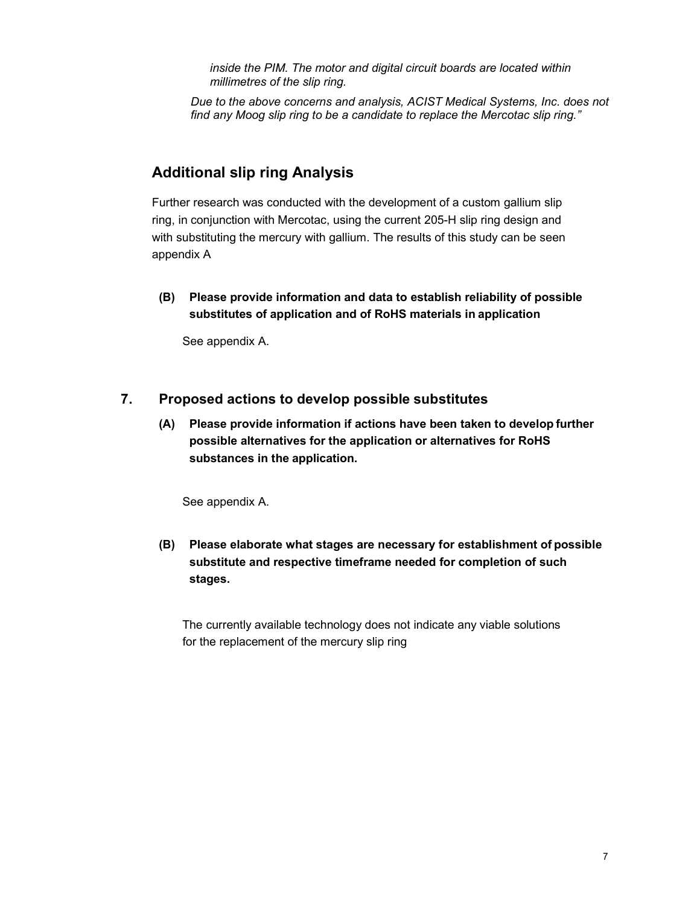inside the PIM. The motor and digital circuit boards are located within millimetres of the slip ring.

Due to the above concerns and analysis, ACIST Medical Systems, Inc. does not find any Moog slip ring to be a candidate to replace the Mercotac slip ring."

## Additional slip ring Analysis

Further research was conducted with the development of a custom gallium slip ring, in conjunction with Mercotac, using the current 205-H slip ring design and with substituting the mercury with gallium. The results of this study can be seen appendix A

(B) Please provide information and data to establish reliability of possible substitutes of application and of RoHS materials in application

See appendix A.

### 7. Proposed actions to develop possible substitutes

(A) Please provide information if actions have been taken to develop further possible alternatives for the application or alternatives for RoHS substances in the application.

See appendix A.

(B) Please elaborate what stages are necessary for establishment of possible substitute and respective timeframe needed for completion of such stages.

 The currently available technology does not indicate any viable solutions for the replacement of the mercury slip ring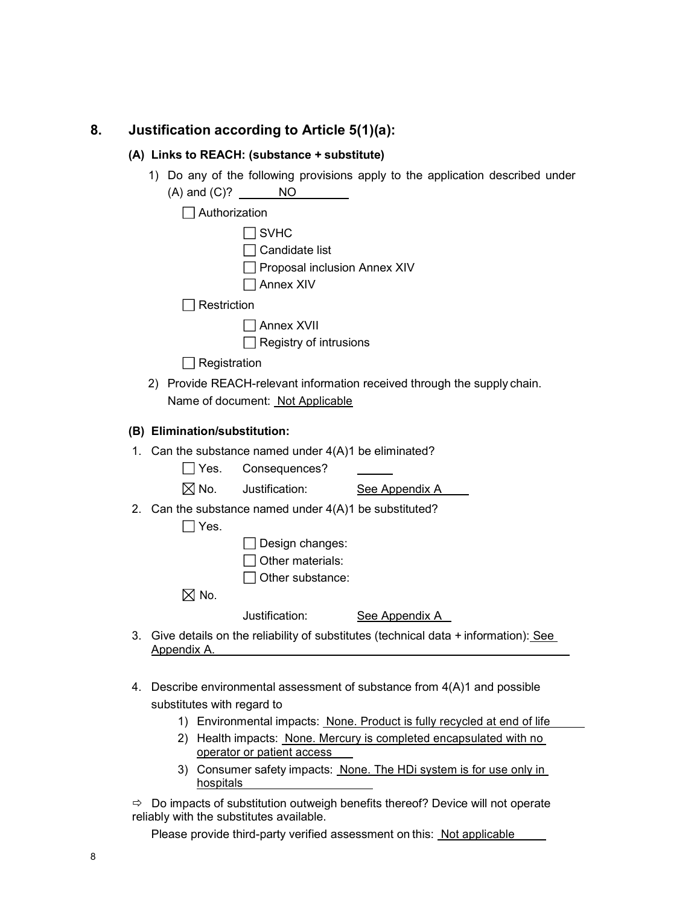# 8. Justification according to Article 5(1)(a):

#### (A) Links to REACH: (substance + substitute)

|    | 1)                            | NO                                                                         | Do any of the following provisions apply to the application described under        |
|----|-------------------------------|----------------------------------------------------------------------------|------------------------------------------------------------------------------------|
|    | $\Box$ Authorization          |                                                                            |                                                                                    |
|    |                               | <b>SVHC</b><br>Candidate list<br>Proposal inclusion Annex XIV<br>Annex XIV |                                                                                    |
|    | Restriction                   |                                                                            |                                                                                    |
|    |                               | <b>Annex XVII</b><br>Registry of intrusions                                |                                                                                    |
|    | Registration                  |                                                                            |                                                                                    |
|    | 2)                            | Name of document: Not Applicable                                           | Provide REACH-relevant information received through the supply chain.              |
|    | (B) Elimination/substitution: |                                                                            |                                                                                    |
|    |                               | 1. Can the substance named under $4(A)1$ be eliminated?                    |                                                                                    |
|    | Yes.                          | Consequences?                                                              |                                                                                    |
|    | $\boxtimes$ No.               | Justification:                                                             | See Appendix A                                                                     |
|    | Yes.                          | 2. Can the substance named under $4(A)1$ be substituted?                   |                                                                                    |
|    |                               | Design changes:<br>Other materials:<br>Other substance:                    |                                                                                    |
|    | $\boxtimes$ No.               |                                                                            |                                                                                    |
|    |                               | Justification:                                                             | See Appendix A                                                                     |
| 3. | Appendix A.                   |                                                                            | Give details on the reliability of substitutes (technical data + information): See |

- 4. Describe environmental assessment of substance from 4(A)1 and possible substitutes with regard to
	- 1) Environmental impacts: None. Product is fully recycled at end of life
	- 2) Health impacts: None. Mercury is completed encapsulated with no operator or patient access
	- 3) Consumer safety impacts: None. The HDi system is for use only in hospitals

 $\Rightarrow$  Do impacts of substitution outweigh benefits thereof? Device will not operate reliably with the substitutes available.

Please provide third-party verified assessment on this: Not applicable